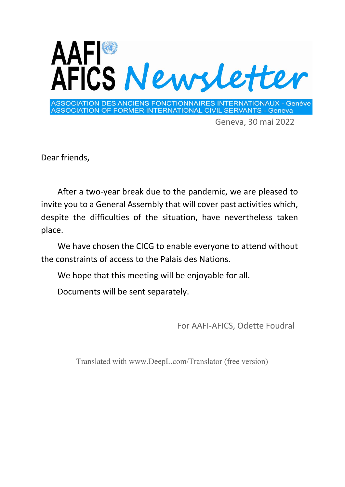

Geneva, 30 mai 2022

Dear friends,

After a two‐year break due to the pandemic, we are pleased to invite you to a General Assembly that will cover past activities which, despite the difficulties of the situation, have nevertheless taken place.

We have chosen the CICG to enable everyone to attend without the constraints of access to the Palais des Nations.

We hope that this meeting will be enjoyable for all.

Documents will be sent separately.

For AAFI‐AFICS, Odette Foudral

Translated with www.DeepL.com/Translator (free version)